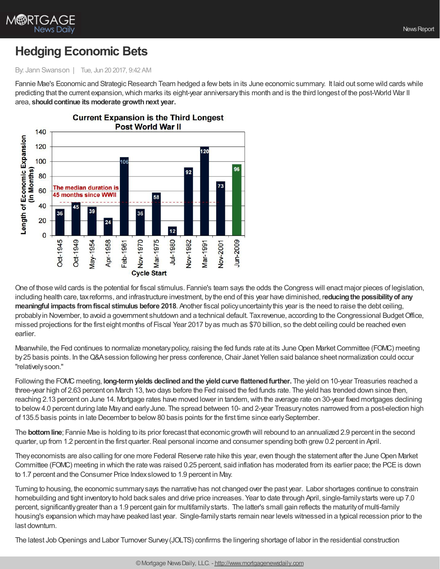

## **Hedging Economic Bets**

By: Jann Swanson | Tue, Jun 20 2017, 9:42 AM

Fannie Mae's Economic and Strategic Research Team hedged a few bets in its June economic summary. It laid out some wild cards while predicting that the current expansion,which marks its eight-year anniversarythis month and is the third longest of the post-World War II area, **shouldcontinue its moderate growthnext year.**



One of those wild cards is the potential for fiscal stimulus. Fannie's team says the odds the Congress will enact major pieces of legislation, including health care, taxreforms, and infrastructure investment, bythe end of this year have diminished, r**educingthe possibilityof any meaningful impacts fromfiscal stimulus before 2018**. Another fiscal policyuncertaintythis year is the need to raise the debt ceiling, probablyin November, to avoid a government shutdown and a technical default. Taxrevenue, according to the Congressional BudgetOffice, missed projections for the first eight months of Fiscal Year 2017 byas much as \$70 billion, so the debt ceiling could be reached even earlier.

Meanwhile, the Fed continues to normalize monetary policy, raising the fed funds rate at its June Open Market Committee (FOMC) meeting by25 basis points. In theQ&Asession following her press conference,Chair Janet Yellen said balance sheet normalization could occur "relativelysoon."

Following the FOMC meeting, **long-term yields declined and the yield curve flattened further. The yield on 10-year Treasuries reached a** three-year high of 2.63 percent on March 13, two days before the Fed raised the fed funds rate. The yield has trended down since then, reaching 2.13 percent on June 14. Mortgage rates have moved lower in tandem,with the average rate on 30-year fixed mortgages declining to below 4.0 percent during late May and early June. The spread between 10- and 2-year Treasury notes narrowed from a post-election high of 135.5 basis points in late December to below 80 basis points for the first time since early September.

The **bottomline**; Fannie Mae is holding to its prior forecast that economic growth will rebound to an annualized 2.9 percent in the second quarter, up from 1.2 percent in the first quarter. Real personal income and consumer spending both grew 0.2 percent in April.

Theyeconomists are also calling for one more Federal Reserve rate hike this year, even though the statement after the JuneOpen Market Committee (FOMC) meeting in which the rate was raised 0.25 percent, said inflation has moderated from its earlier pace; the PCEis down to 1.7 percent and the Consumer Price Indexslowed to 1.9 percent in May.

Turning to housing, the economic summarysays the narrative has not changed over the past year. Labor shortages continue to constrain homebuilding and tight inventoryto hold back sales and drive price increases. Year to date through April, single-familystarts were up 7.0 percent, significantlygreater than a 1.9 percent gain for multifamilystarts. The latter's small gain reflects the maturityof multi-family housing's expansion which mayhave peaked last year. Single-familystarts remain near levels witnessed in a typical recession prior to the last downturn.

The latest JobOpenings and Labor Turnover Survey(JOLTS) confirms the lingering shortage of labor in the residential construction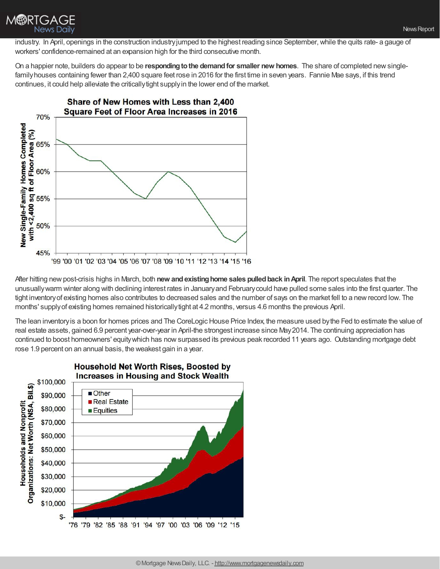

industry. In April, openings in the construction industryjumped to the highest reading since September,while the quits rate- a gauge of workers' confidence-remained at an expansion high for the third consecutive month.

On a happier note, builders do appear to be **respondingtothe demandfor smaller new homes**. The share of completed newsinglefamily houses containing fewer than 2,400 square feet rose in 2016 for the first time in seven years. Fannie Mae says, if this trend continues, it could help alleviate the criticallytight supplyin the lower end of the market.



After hitting newpost-crisis highs in March, both **new andexistinghome sales pulledback inApril**. The report speculates that the unusuallywarm winter along with declining interest rates in Januaryand Februarycould have pulled some sales into the first quarter. The tight inventory of existing homes also contributes to decreased sales and the number of says on the market fell to a new record low. The months' supplyof existing homes remained historicallytight at 4.2 months, versus 4.6 months the previous April.

The lean inventory is a boon for homes prices and The CoreLogic House Price Index, the measure used by the Fed to estimate the value of real estate assets, gained 6.9 percent year-over-year in April-the strongest increase since May2014. The continuing appreciation has continued to boost homeowners' equitywhich has nowsurpassed its previous peak recorded 11 years ago. Outstanding mortgage debt rose 1.9 percent on an annual basis, the weakest gain in a year.



## **Household Net Worth Rises, Boosted by**